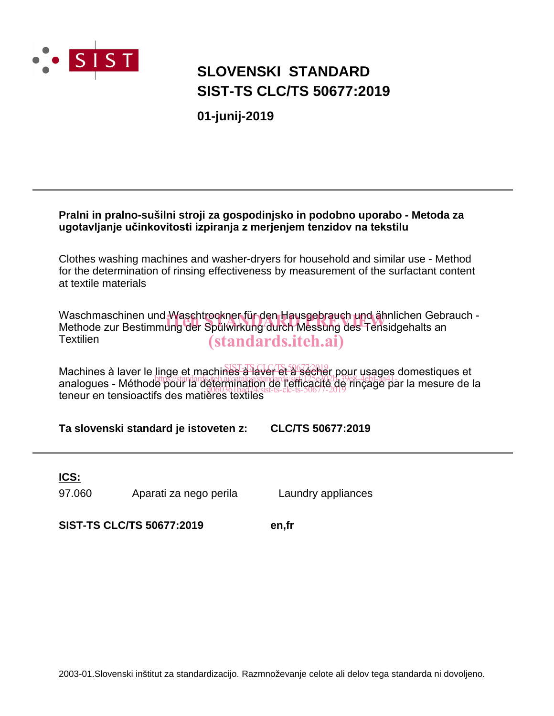

# **SLOVENSKI STANDARD SIST-TS CLC/TS 50677:2019**

**01-junij-2019**

## **Pralni in pralno-sušilni stroji za gospodinjsko in podobno uporabo - Metoda za ugotavljanje učinkovitosti izpiranja z merjenjem tenzidov na tekstilu**

Clothes washing machines and washer-dryers for household and similar use - Method for the determination of rinsing effectiveness by measurement of the surfactant content at textile materials

Waschmaschinen und Waschtrockner für den Hausgebrauch und ähnlichen Gebrauch -Waschmaschinen und Waschtrockner für den Hausgebrauch und ähnlichen Gebr<br>Methode zur Bestimmung der Spülwirkung durch Messung des Tensidgehalts an **Textilien** (standards.iteh.ai)

Machines à laver le linge et machines à laver et à sécher pour usages domestiques et masimico a la voi lo migo et informico d'avait de l'efficacité de rinçage par la mesure de la teneur en tensioactifs des matières textiles d060361bad24/sist-ts-clc-ts-50677-2019

**Ta slovenski standard je istoveten z: CLC/TS 50677:2019**

**ICS:**

97.060 Aparati za nego perila Laundry appliances

**SIST-TS CLC/TS 50677:2019 en,fr**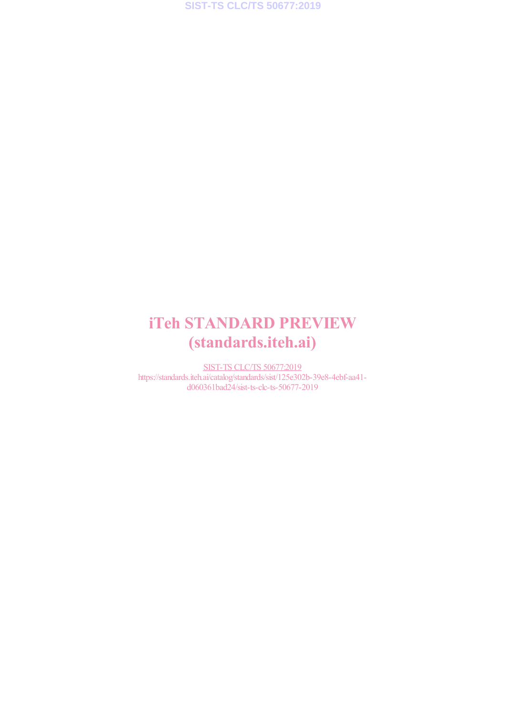# iTeh STANDARD PREVIEW (standards.iteh.ai)

SIST-TS CLC/TS 50677:2019 https://standards.iteh.ai/catalog/standards/sist/125e302b-39e8-4ebf-aa41 d060361bad24/sist-ts-clc-ts-50677-2019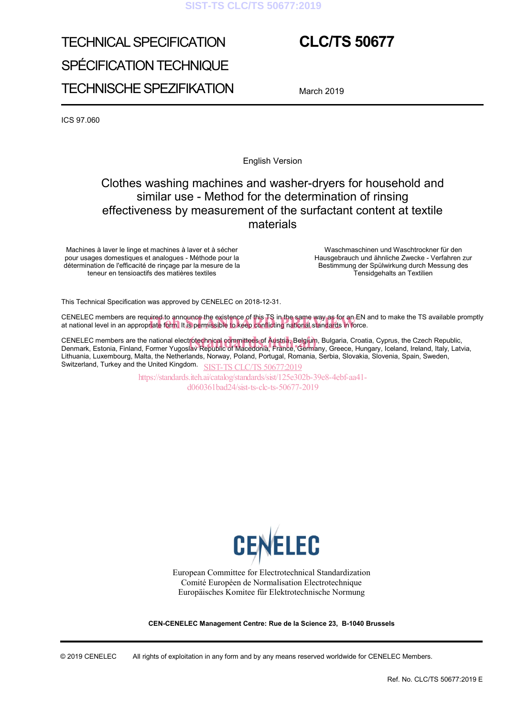### **SIST-TS CLC/TS 50677:2019**

# TECHNICAL SPECIFICATION SPÉCIFICATION TECHNIQUE TECHNISCHE SPEZIFIKATION

# **CLC/TS 50677**

March 2019

ICS 97.060

English Version

# Clothes washing machines and washer-dryers for household and similar use - Method for the determination of rinsing effectiveness by measurement of the surfactant content at textile materials

Machines à laver le linge et machines à laver et à sécher pour usages domestiques et analogues - Méthode pour la détermination de l'efficacité de rinçage par la mesure de la teneur en tensioactifs des matières textiles

 Waschmaschinen und Waschtrockner für den Hausgebrauch und ähnliche Zwecke - Verfahren zur Bestimmung der Spülwirkung durch Messung des Tensidgehalts an Textilien

This Technical Specification was approved by CENELEC on 2018-12-31.

CENELEC members are required to announce the existence of this TS in the same way as for an EN and to make the TS available promptly CENELEC members are required to announce the existence of this TS in the same way as for an EN a<br>at national level in an appropr<mark>iate form.</mark> It is permissible to keep conflicting national standards in force.

CENELEC members are the national electr<mark>otechnical committees of Austria,</mark> Belgium, Bulgaria, Croatia, Cyprus, the Czech Republic,<br>Denmark, Estonia, Finland, Former Yugoslav Republic of Macedonia, France, Germany, Greece, Denmark, Estonia, Finland, Former Yugoslav Republic of Macedonia, France, Germany, Greece, Hungary, Iceland, Ireland, Italy, Latvia, Lithuania, Luxembourg, Malta, the Netherlands, Norway, Poland, Portugal, Romania, Serbia, Slovakia, Slovenia, Spain, Sweden, Switzerland, Turkey and the United Kingdom. SIST-TS CLC/TS 50677:2019

https://standards.iteh.ai/catalog/standards/sist/125e302b-39e8-4ebf-aa41 d060361bad24/sist-ts-clc-ts-50677-2019



European Committee for Electrotechnical Standardization Comité Européen de Normalisation Electrotechnique Europäisches Komitee für Elektrotechnische Normung

**CEN-CENELEC Management Centre: Rue de la Science 23, B-1040 Brussels** 

© 2019 CENELEC All rights of exploitation in any form and by any means reserved worldwide for CENELEC Members.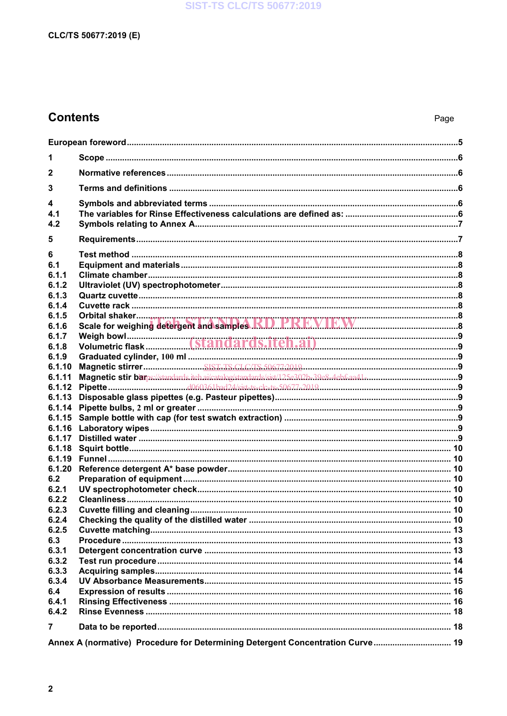## **SIST-TS CLC/TS 50677:2019**

## CLC/TS 50677:2019 (E)

# **Contents**

| 1            |                                                                                |  |  |  |
|--------------|--------------------------------------------------------------------------------|--|--|--|
| $\mathbf{2}$ |                                                                                |  |  |  |
| 3            |                                                                                |  |  |  |
|              |                                                                                |  |  |  |
| 4            |                                                                                |  |  |  |
| 4.1          |                                                                                |  |  |  |
| 4.2          |                                                                                |  |  |  |
| 5            |                                                                                |  |  |  |
| 6            |                                                                                |  |  |  |
| 6.1          |                                                                                |  |  |  |
| 6.1.1        |                                                                                |  |  |  |
| 6.1.2        |                                                                                |  |  |  |
| 6.1.3        |                                                                                |  |  |  |
| 6.1.4        |                                                                                |  |  |  |
| 6.1.5        |                                                                                |  |  |  |
| 6.1.6        |                                                                                |  |  |  |
| 6.1.7        |                                                                                |  |  |  |
| 6.1.8        |                                                                                |  |  |  |
| 6.1.9        |                                                                                |  |  |  |
| 6.1.10       |                                                                                |  |  |  |
| 6.1.11       |                                                                                |  |  |  |
| 6.1.12       |                                                                                |  |  |  |
| 6.1.13       |                                                                                |  |  |  |
| 6.1.14       |                                                                                |  |  |  |
| 6.1.15       |                                                                                |  |  |  |
| 6.1.16       |                                                                                |  |  |  |
| 6.1.17       |                                                                                |  |  |  |
| 6.1.18       |                                                                                |  |  |  |
| 6.1.19       |                                                                                |  |  |  |
| 6.1.20       |                                                                                |  |  |  |
| 6.2          |                                                                                |  |  |  |
| 6.2.1        |                                                                                |  |  |  |
| 6.2.2        |                                                                                |  |  |  |
| 6.2.3        |                                                                                |  |  |  |
| 6.2.4        |                                                                                |  |  |  |
| 6.2.5        |                                                                                |  |  |  |
| 6.3          |                                                                                |  |  |  |
| 6.3.1        |                                                                                |  |  |  |
| 6.3.2        |                                                                                |  |  |  |
| 6.3.3        |                                                                                |  |  |  |
| 6.3.4        |                                                                                |  |  |  |
| 6.4          |                                                                                |  |  |  |
| 6.4.1        |                                                                                |  |  |  |
| 6.4.2        |                                                                                |  |  |  |
| 7            |                                                                                |  |  |  |
|              | Annex A (normative) Procedure for Determining Detergent Concentration Curve 19 |  |  |  |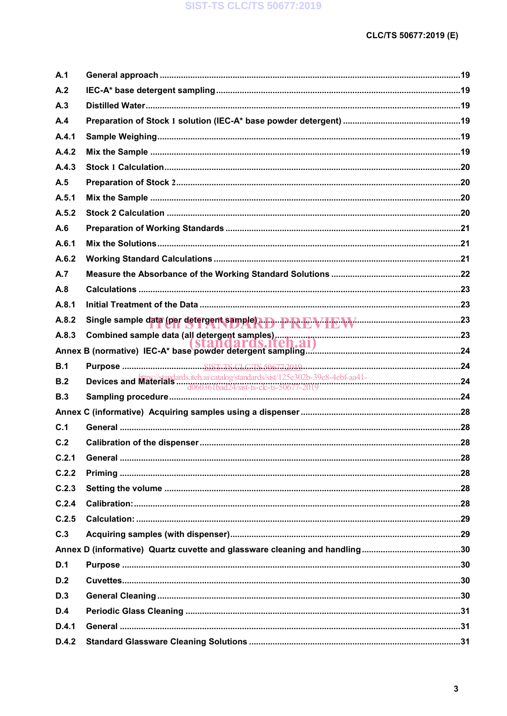| Single sample data (per detergent sample) + D + R + V + E W + C + V + C + 23 |
|------------------------------------------------------------------------------|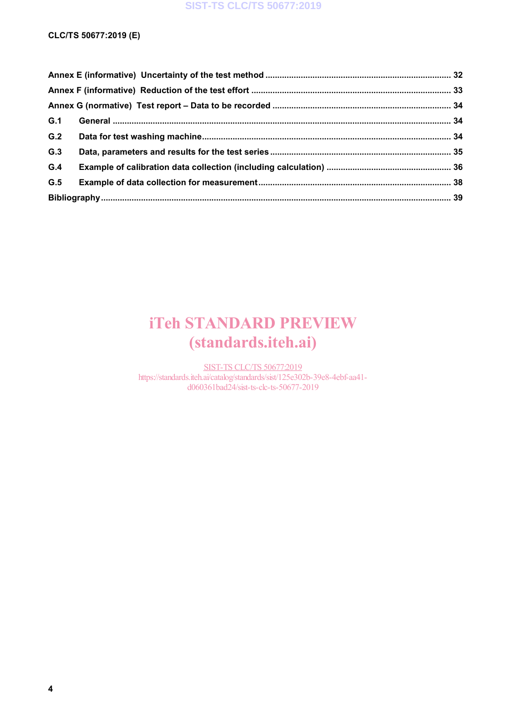## **SIST-TS CLC/TS 50677:2019**

### **CLC/TS 50677:2019 (E)**

| G.1 |  |  |  |
|-----|--|--|--|
| G.2 |  |  |  |
| G.3 |  |  |  |
| G.4 |  |  |  |
| G.5 |  |  |  |
|     |  |  |  |

# iTeh STANDARD PREVIEW (standards.iteh.ai)

SIST-TS CLC/TS 50677:2019 https://standards.iteh.ai/catalog/standards/sist/125e302b-39e8-4ebf-aa41d060361bad24/sist-ts-clc-ts-50677-2019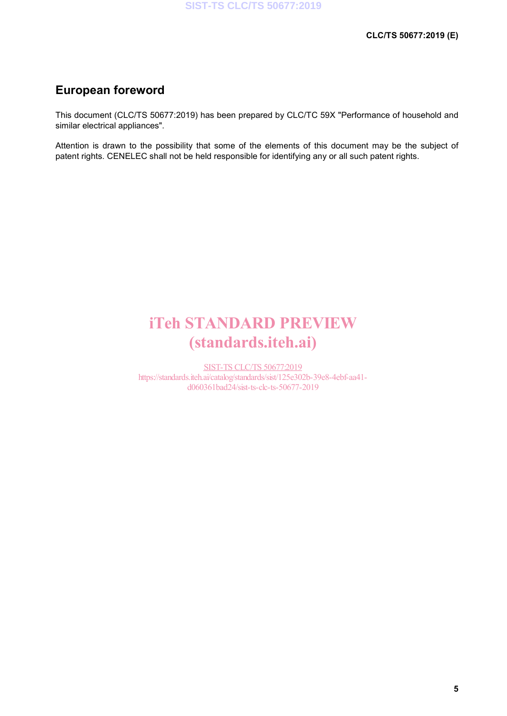# **European foreword**

This document (CLC/TS 50677:2019) has been prepared by CLC/TC 59X "Performance of household and similar electrical appliances".

Attention is drawn to the possibility that some of the elements of this document may be the subject of patent rights. CENELEC shall not be held responsible for identifying any or all such patent rights.

# iTeh STANDARD PREVIEW (standards.iteh.ai)

SIST-TS CLC/TS 50677:2019 https://standards.iteh.ai/catalog/standards/sist/125e302b-39e8-4ebf-aa41 d060361bad24/sist-ts-clc-ts-50677-2019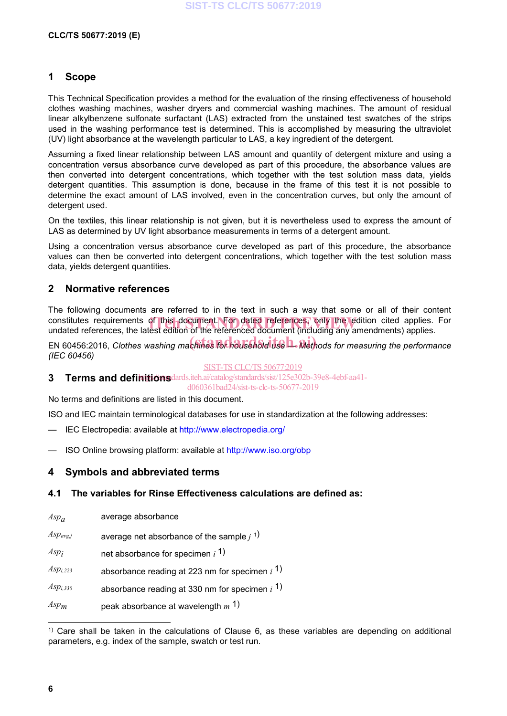### **1 Scope**

This Technical Specification provides a method for the evaluation of the rinsing effectiveness of household clothes washing machines, washer dryers and commercial washing machines. The amount of residual linear alkylbenzene sulfonate surfactant (LAS) extracted from the unstained test swatches of the strips used in the washing performance test is determined. This is accomplished by measuring the ultraviolet (UV) light absorbance at the wavelength particular to LAS, a key ingredient of the detergent.

Assuming a fixed linear relationship between LAS amount and quantity of detergent mixture and using a concentration versus absorbance curve developed as part of this procedure, the absorbance values are then converted into detergent concentrations, which together with the test solution mass data, yields detergent quantities. This assumption is done, because in the frame of this test it is not possible to determine the exact amount of LAS involved, even in the concentration curves, but only the amount of detergent used.

On the textiles, this linear relationship is not given, but it is nevertheless used to express the amount of LAS as determined by UV light absorbance measurements in terms of a detergent amount.

Using a concentration versus absorbance curve developed as part of this procedure, the absorbance values can then be converted into detergent concentrations, which together with the test solution mass data, yields detergent quantities.

### **2 Normative references**

The following documents are referred to in the text in such a way that some or all of their content constitutes requirements of this document. For dated references, only the edition cited applies. For<br>undated references, the latest edition of the referenced document (including any amendments) applies. undated references, the latest edition of the referenced document (including any amendments) applies.

EN 60456:2016, *Clothes washing machines for household use L. Methods for measuring the performance (IEC 60456)*

#### SIST-TS CLC/TS 50677:2019

**3 Terms and definitions** dards.iteh.ai/catalog/standards/sist/125e302b-39e8-4ebf-aa41-

d060361bad24/sist-ts-clc-ts-50677-2019

No terms and definitions are listed in this document.

ISO and IEC maintain terminological databases for use in standardization at the following addresses:

- IEC Electropedia: available at http://www.electropedia.org/
- ISO Online browsing platform: available at http://www.iso.org/obp

#### **4 Symbols and abbreviated terms**

#### **4.1 The variables for Rinse Effectiveness calculations are defined as:**

| $Asp_a$       | average absorbance                                  |
|---------------|-----------------------------------------------------|
| $Asp_{avg,j}$ | average net absorbance of the sample $j^{(1)}$      |
| $Asp_i$       | net absorbance for specimen $i1$                    |
| $Asp_{i,223}$ | absorbance reading at 223 nm for specimen $i^{(1)}$ |
| $Asp_{i,330}$ | absorbance reading at 330 nm for specimen $i^{(1)}$ |
| $Asp_m$       | peak absorbance at wavelength $m1$                  |

 $1)$  Care shall be taken in the calculations of Clause 6, as these variables are depending on additional parameters, e.g. index of the sample, swatch or test run.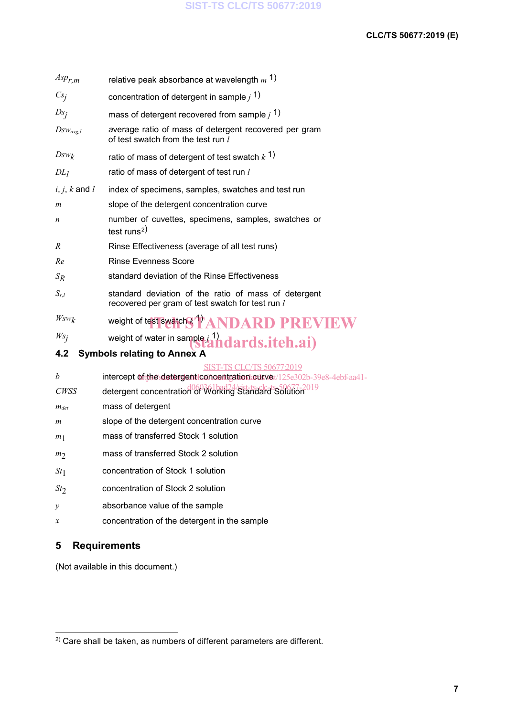| $Asp_{r,m}$       | relative peak absorbance at wavelength $m1$                                                              |
|-------------------|----------------------------------------------------------------------------------------------------------|
| Cs <sub>j</sub>   | concentration of detergent in sample $j^{(1)}$                                                           |
| $Ds_j$            | mass of detergent recovered from sample $j^{(1)}$                                                        |
| $Dsw_{avg,l}$     | average ratio of mass of detergent recovered per gram<br>of test swatch from the test run l              |
| $Dsw_k$           | ratio of mass of detergent of test swatch $k1$ )                                                         |
| DL <sub>1</sub>   | ratio of mass of detergent of test run l                                                                 |
| $i, j, k$ and $l$ | index of specimens, samples, swatches and test run                                                       |
| m                 | slope of the detergent concentration curve                                                               |
| n                 | number of cuvettes, specimens, samples, swatches or<br>test runs <sup>2)</sup>                           |
| R                 | Rinse Effectiveness (average of all test runs)                                                           |
| Re                | <b>Rinse Evenness Score</b>                                                                              |
| $S_R$             | standard deviation of the Rinse Effectiveness                                                            |
| $S_{r,l}$         | standard deviation of the ratio of mass of detergent<br>recovered per gram of test swatch for test run l |
| $Wsw_k$           | weight of test swatch & TANDARD PREVIEW                                                                  |
| $Ws_j$            | weight of water in sample i <sup>1</sup> ) dards.iteh.ai)                                                |
| 4.2               | <b>Symbols relating to Annex A</b>                                                                       |
| b                 | YIS 506772019<br>intercept of the detergent concentration curve / 125e302b-39e8-4ebf-aa41-               |
| <b>CWSS</b>       | detergent concentration of Working Standard Solution 019                                                 |
| $m_{det}$         | mass of detergent                                                                                        |
| m                 | slope of the detergent concentration curve                                                               |
| m <sub>1</sub>    | mass of transferred Stock 1 solution                                                                     |
| m <sub>2</sub>    | mass of transferred Stock 2 solution                                                                     |
| St <sub>1</sub>   | concentration of Stock 1 solution                                                                        |
| St <sub>2</sub>   | concentration of Stock 2 solution                                                                        |
| у                 | absorbance value of the sample                                                                           |
| х                 | concentration of the detergent in the sample                                                             |

# **5 Requirements**

(Not available in this document.)

 <sup>2)</sup> Care shall be taken, as numbers of different parameters are different.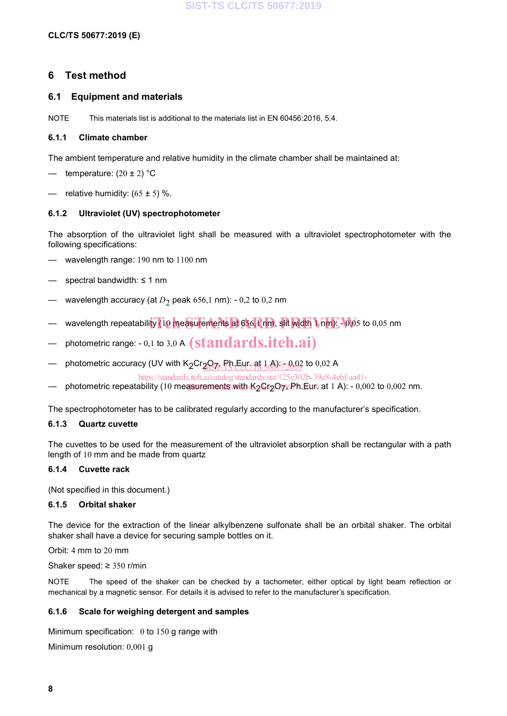### **6 Test method**

#### **6.1 Equipment and materials**

NOTE This materials list is additional to the materials list in EN 60456:2016, 5.4.

#### **6.1.1 Climate chamber**

The ambient temperature and relative humidity in the climate chamber shall be maintained at:

- temperature:  $(20 \pm 2)$  °C
- relative humidity:  $(65 \pm 5)$  %.

#### **6.1.2 Ultraviolet (UV) spectrophotometer**

The absorption of the ultraviolet light shall be measured with a ultraviolet spectrophotometer with the following specifications:

- wavelength range: 190 nm to 1100 nm
- spectral bandwidth: ≤ 1 nm
- wavelength accuracy (at  $D_2$  peak 656,1 nm): 0,2 to 0,2 nm
- wavelength repeatability (10 measurements at 656,1 nm, slit width  $1$  nm): -0,05 to 0,05 nm
- $-$  photometric range: 0,1 to 3,0 A  $(\mathrm{standards.}iteh.ai)$
- photometric accuracy (UV with K<sub>2</sub>Cr<sub>2</sub>O<sub>7)</sub>. Ph.Eur. at } A};<sub>7:20</sub>02 to 0,02 A

https://standards.iteh.ai/catalog/standards/sist/125e302b-39e8-4ebf-aa41-

— photometric repeatability (10 measurements with K<sub>2</sub>Cr<sub>2</sub>O<sub>7</sub>x,Ph.Eur. at 1 A): - 0,002 to 0,002 nm.

The spectrophotometer has to be calibrated regularly according to the manufacturer's specification.

#### **6.1.3 Quartz cuvette**

The cuvettes to be used for the measurement of the ultraviolet absorption shall be rectangular with a path length of 10 mm and be made from quartz

#### **6.1.4 Cuvette rack**

(Not specified in this document.)

#### **6.1.5 Orbital shaker**

The device for the extraction of the linear alkylbenzene sulfonate shall be an orbital shaker. The orbital shaker shall have a device for securing sample bottles on it.

Orbit: 4 mm to 20 mm

Shaker speed: ≥ 350 r/min

NOTE The speed of the shaker can be checked by a tachometer, either optical by light beam reflection or mechanical by a magnetic sensor. For details it is advised to refer to the manufacturer's specification.

#### **6.1.6 Scale for weighing detergent and samples**

Minimum specification: 0 to 150 g range with

Minimum resolution: 0,001 g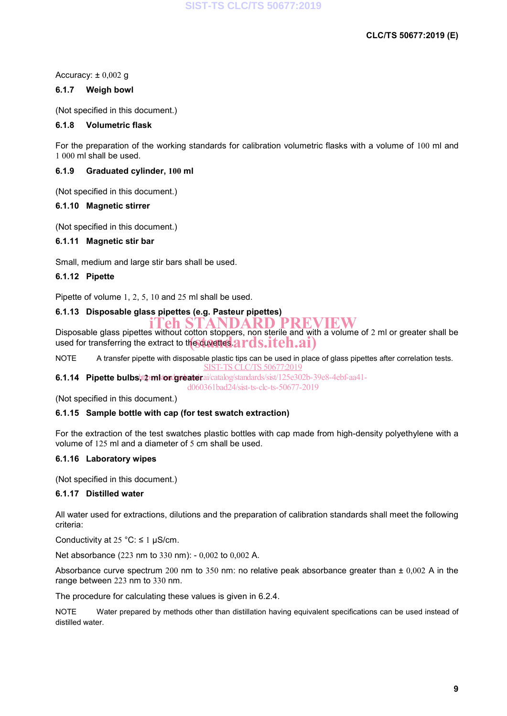Accuracy:  $\pm 0,002$  g

#### **6.1.7 Weigh bowl**

(Not specified in this document.)

#### **6.1.8 Volumetric flask**

For the preparation of the working standards for calibration volumetric flasks with a volume of 100 ml and 1 000 ml shall be used.

#### **6.1.9 Graduated cylinder, 100 ml**

(Not specified in this document.)

#### **6.1.10 Magnetic stirrer**

(Not specified in this document.)

#### **6.1.11 Magnetic stir bar**

Small, medium and large stir bars shall be used.

#### **6.1.12 Pipette**

Pipette of volume 1, 2, 5, 10 and 25 ml shall be used.

#### **6.1.13 Disposable glass pipettes (e.g. Pasteur pipettes)**

Disposable glass pipettes without cotton stoppers, non sterile and with a volume of 2 ml or greater shall be Disposable glass pipertes whilout content steppers, non sighted and will used for transferring the extract to the cuverties.  $ards.iteh.ai)$ **ich STANDARD PREVIEW** 

NOTE A transfer pipette with disposable plastic tips can be used in place of glass pipettes after correlation tests. SIST-TS CLC/TS 50677:2019

6.1.14 **Pipette bulbs, priktor greater** ai/catalog/standards/sist/125e302b-39e8-4ebf-aa41d060361bad24/sist-ts-clc-ts-50677-2019

(Not specified in this document.)

#### **6.1.15 Sample bottle with cap (for test swatch extraction)**

For the extraction of the test swatches plastic bottles with cap made from high-density polyethylene with a volume of 125 ml and a diameter of 5 cm shall be used.

#### **6.1.16 Laboratory wipes**

(Not specified in this document.)

#### **6.1.17 Distilled water**

All water used for extractions, dilutions and the preparation of calibration standards shall meet the following criteria:

Conductivity at  $25 \text{ °C}$ :  $\leq 1 \text{ µS/cm}$ .

Net absorbance (223 nm to 330 nm): - 0,002 to 0,002 A.

Absorbance curve spectrum 200 nm to 350 nm: no relative peak absorbance greater than  $\pm$  0,002 A in the range between 223 nm to 330 nm.

The procedure for calculating these values is given in 6.2.4.

NOTE Water prepared by methods other than distillation having equivalent specifications can be used instead of distilled water.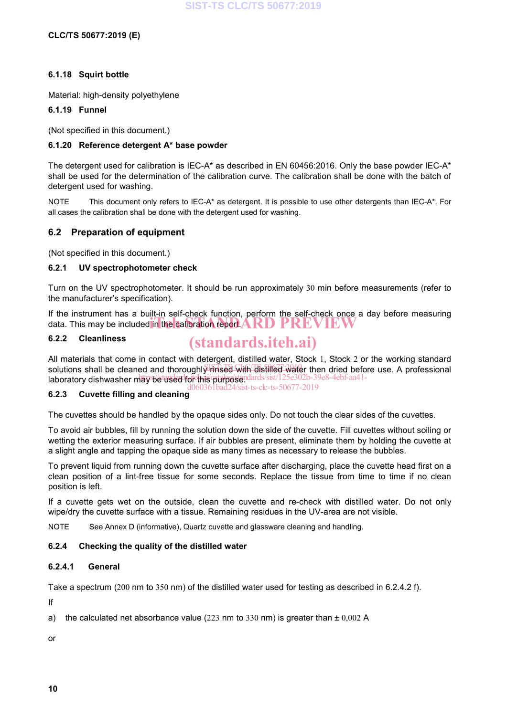#### **6.1.18 Squirt bottle**

Material: high-density polyethylene

#### **6.1.19 Funnel**

(Not specified in this document.)

#### **6.1.20 Reference detergent A\* base powder**

The detergent used for calibration is IEC-A\* as described in EN 60456:2016. Only the base powder IEC-A\* shall be used for the determination of the calibration curve. The calibration shall be done with the batch of detergent used for washing.

NOTE This document only refers to IEC-A\* as detergent. It is possible to use other detergents than IEC-A\*. For all cases the calibration shall be done with the detergent used for washing.

### **6.2 Preparation of equipment**

(Not specified in this document.)

#### **6.2.1 UV spectrophotometer check**

Turn on the UV spectrophotometer. It should be run approximately 30 min before measurements (refer to the manufacturer's specification).

If the instrument has a built-in self-check function, perform the self-check once a day before measuring data. This may be included in the calibration report.  $\bf{AND}$   $\bf{PREVIRW}$ 

#### **6.2.2 Cleanliness**

# (standards.iteh.ai)

All materials that come in contact with detergent, distilled water, Stock 1, Stock 2 or the working standard solutions shall be cleaned and thoroughly rinsed with distilled water then dried before use. A professional laboratory dishwasher may be used for this purposendards/sist/125e302b-39e8-4ebf-aa41d060361bad24/sist-ts-clc-ts-50677-2019

## **6.2.3 Cuvette filling and cleaning**

The cuvettes should be handled by the opaque sides only. Do not touch the clear sides of the cuvettes.

To avoid air bubbles, fill by running the solution down the side of the cuvette. Fill cuvettes without soiling or wetting the exterior measuring surface. If air bubbles are present, eliminate them by holding the cuvette at a slight angle and tapping the opaque side as many times as necessary to release the bubbles.

To prevent liquid from running down the cuvette surface after discharging, place the cuvette head first on a clean position of a lint-free tissue for some seconds. Replace the tissue from time to time if no clean position is left.

If a cuvette gets wet on the outside, clean the cuvette and re-check with distilled water. Do not only wipe/dry the cuvette surface with a tissue. Remaining residues in the UV-area are not visible.

NOTE See Annex D (informative), Quartz cuvette and glassware cleaning and handling.

#### **6.2.4 Checking the quality of the distilled water**

#### **6.2.4.1 General**

Take a spectrum (200 nm to 350 nm) of the distilled water used for testing as described in 6.2.4.2 f).

If

a) the calculated net absorbance value (223 nm to 330 nm) is greater than  $\pm 0.002$  A

or